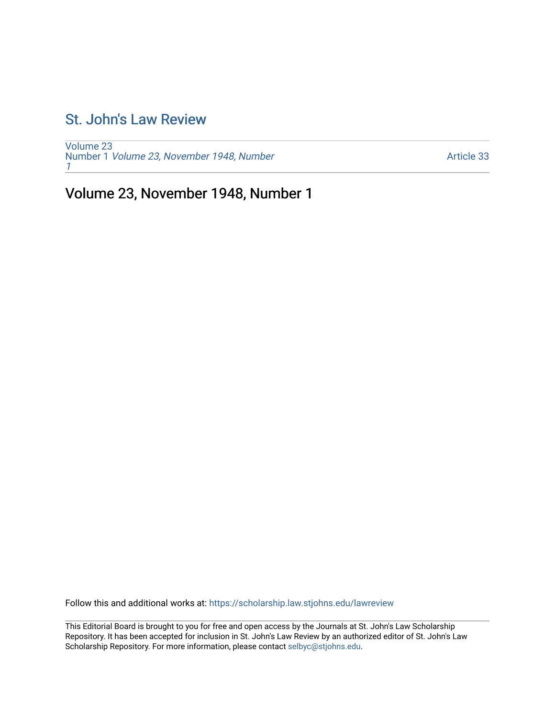## [St. John's Law Review](https://scholarship.law.stjohns.edu/lawreview)

[Volume 23](https://scholarship.law.stjohns.edu/lawreview/vol23) Number 1 [Volume 23, November 1948, Number](https://scholarship.law.stjohns.edu/lawreview/vol23/iss1) [1](https://scholarship.law.stjohns.edu/lawreview/vol23/iss1)

[Article 33](https://scholarship.law.stjohns.edu/lawreview/vol23/iss1/33) 

Volume 23, November 1948, Number 1

Follow this and additional works at: [https://scholarship.law.stjohns.edu/lawreview](https://scholarship.law.stjohns.edu/lawreview?utm_source=scholarship.law.stjohns.edu%2Flawreview%2Fvol23%2Fiss1%2F33&utm_medium=PDF&utm_campaign=PDFCoverPages) 

This Editorial Board is brought to you for free and open access by the Journals at St. John's Law Scholarship Repository. It has been accepted for inclusion in St. John's Law Review by an authorized editor of St. John's Law Scholarship Repository. For more information, please contact [selbyc@stjohns.edu](mailto:selbyc@stjohns.edu).